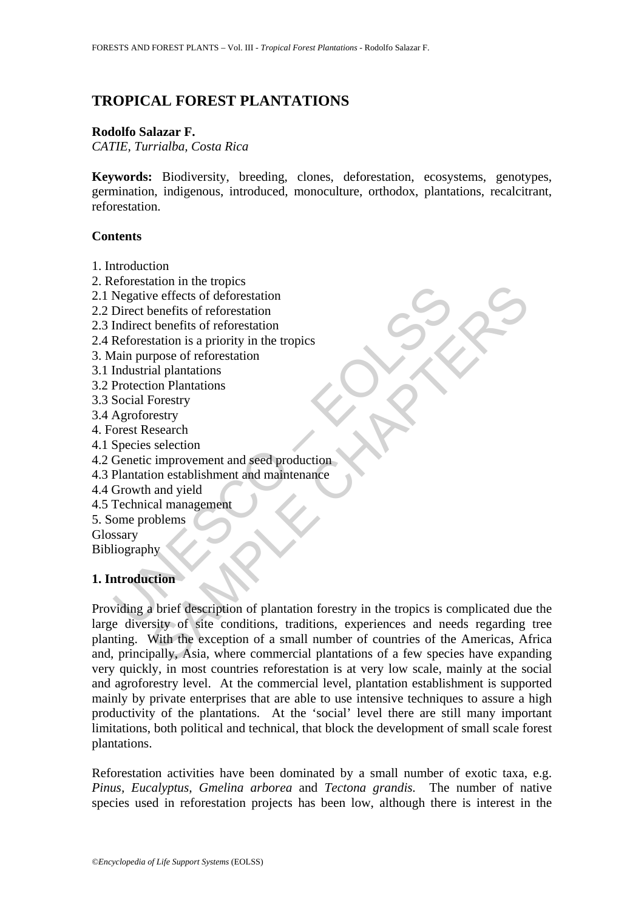# **TROPICAL FOREST PLANTATIONS**

#### **Rodolfo Salazar F.**

*CATIE, Turrialba, Costa Rica* 

**Keywords:** Biodiversity, breeding, clones, deforestation, ecosystems, genotypes, germination, indigenous, introduced, monoculture, orthodox, plantations, recalcitrant, reforestation.

#### **Contents**

- 1. Introduction
- 2. Reforestation in the tropics
- 2.1 Negative effects of deforestation
- 2.2 Direct benefits of reforestation
- 2.3 Indirect benefits of reforestation
- 2.4 Reforestation is a priority in the tropics
- 3. Main purpose of reforestation
- 3.1 Industrial plantations
- 3.2 Protection Plantations
- 3.3 Social Forestry
- 3.4 Agroforestry
- 4. Forest Research
- 4.1 Species selection
- 4.2 Genetic improvement and seed production
- 4.3 Plantation establishment and maintenance
- 4.4 Growth and yield
- 4.5 Technical management
- 5. Some problems
- Glossary
- Bibliography

#### **1. Introduction**

Negative effects of deforestation<br>
Negative effects of deforestation<br>
Direct benefits of reforestation<br>
Indirect benefits of reforestation<br>
Reforestation is a priority in the tropics<br>
Industrial plantations<br>
Industrial pla ation in the tropics<br>
ore effects of deforestation<br>
benefits of reforestation<br>
then<br>
tradition is a priority in the tropics<br>
repose of reforestation<br>
repose of reforestation<br>
repose of reforestation<br>
signal plantations<br>
is Providing a brief description of plantation forestry in the tropics is complicated due the large diversity of site conditions, traditions, experiences and needs regarding tree planting. With the exception of a small number of countries of the Americas, Africa and, principally, Asia, where commercial plantations of a few species have expanding very quickly, in most countries reforestation is at very low scale, mainly at the social and agroforestry level. At the commercial level, plantation establishment is supported mainly by private enterprises that are able to use intensive techniques to assure a high productivity of the plantations. At the 'social' level there are still many important limitations, both political and technical, that block the development of small scale forest plantations.

Reforestation activities have been dominated by a small number of exotic taxa, e.g. *Pinus, Eucalyptus, Gmelina arborea* and *Tectona grandis.* The number of native species used in reforestation projects has been low, although there is interest in the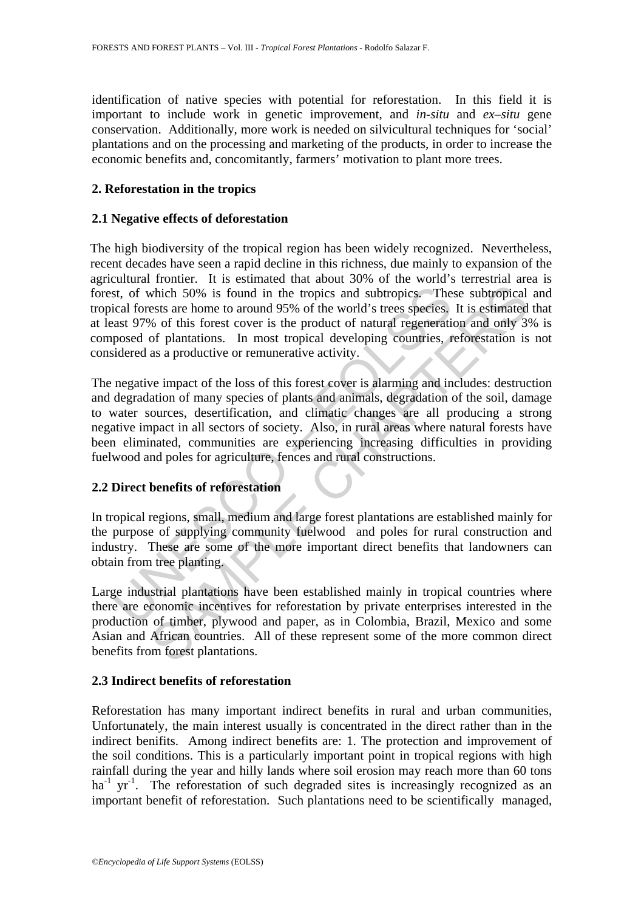identification of native species with potential for reforestation. In this field it is important to include work in genetic improvement, and *in-situ* and *ex–situ* gene conservation. Additionally, more work is needed on silvicultural techniques for 'social' plantations and on the processing and marketing of the products, in order to increase the economic benefits and, concomitantly, farmers' motivation to plant more trees.

### **2. Reforestation in the tropics**

### **2.1 Negative effects of deforestation**

The high biodiversity of the tropical region has been widely recognized. Nevertheless, recent decades have seen a rapid decline in this richness, due mainly to expansion of the agricultural frontier. It is estimated that about 30% of the world's terrestrial area is forest, of which 50% is found in the tropics and subtropics. These subtropical and tropical forests are home to around 95% of the world's trees species. It is estimated that at least 97% of this forest cover is the product of natural regeneration and only 3% is composed of plantations. In most tropical developing countries, reforestation is not considered as a productive or remunerative activity.

st, of which 50% is found in the tropics and subtropics. The<br>cial forests are home to around 95% of the world's trees species,<br>ast 97% of this forest cover is the product of natural regeneratio<br>posed of plantations. In mos which 50% is found in the tropics and subtropics. These subtropical<br>ests are home to around 95% of the world's trees species, It is estimated<br>which 50% is found in the tropics and subtropics. These subtropical<br>ests are hom The negative impact of the loss of this forest cover is alarming and includes: destruction and degradation of many species of plants and animals, degradation of the soil, damage to water sources, desertification, and climatic changes are all producing a strong negative impact in all sectors of society. Also, in rural areas where natural forests have been eliminated, communities are experiencing increasing difficulties in providing fuelwood and poles for agriculture, fences and rural constructions.

#### **2.2 Direct benefits of reforestation**

In tropical regions, small, medium and large forest plantations are established mainly for the purpose of supplying community fuelwood and poles for rural construction and industry. These are some of the more important direct benefits that landowners can obtain from tree planting.

Large industrial plantations have been established mainly in tropical countries where there are economic incentives for reforestation by private enterprises interested in the production of timber, plywood and paper, as in Colombia, Brazil, Mexico and some Asian and African countries. All of these represent some of the more common direct benefits from forest plantations.

#### **2.3 Indirect benefits of reforestation**

Reforestation has many important indirect benefits in rural and urban communities, Unfortunately, the main interest usually is concentrated in the direct rather than in the indirect benifits. Among indirect benefits are: 1. The protection and improvement of the soil conditions. This is a particularly important point in tropical regions with high rainfall during the year and hilly lands where soil erosion may reach more than 60 tons  $ha^{-1}$  yr<sup>-1</sup>. The reforestation of such degraded sites is increasingly recognized as an important benefit of reforestation. Such plantations need to be scientifically managed,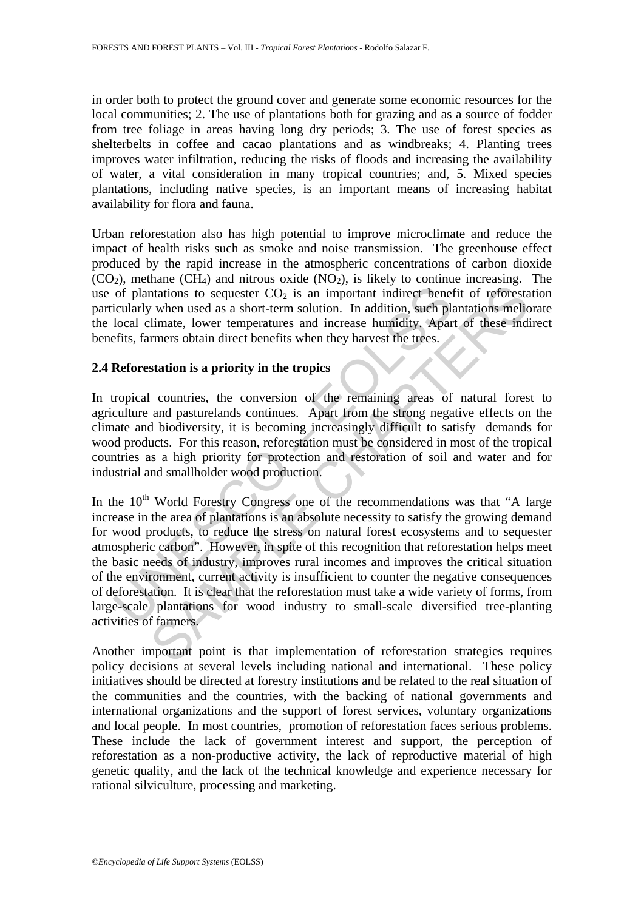in order both to protect the ground cover and generate some economic resources for the local communities; 2. The use of plantations both for grazing and as a source of fodder from tree foliage in areas having long dry periods; 3. The use of forest species as shelterbelts in coffee and cacao plantations and as windbreaks; 4. Planting trees improves water infiltration, reducing the risks of floods and increasing the availability of water, a vital consideration in many tropical countries; and, 5. Mixed species plantations, including native species, is an important means of increasing habitat availability for flora and fauna.

Urban reforestation also has high potential to improve microclimate and reduce the impact of health risks such as smoke and noise transmission. The greenhouse effect produced by the rapid increase in the atmospheric concentrations of carbon dioxide  $(CO<sub>2</sub>)$ , methane  $(CH<sub>4</sub>)$  and nitrous oxide  $(NO<sub>2</sub>)$ , is likely to continue increasing. The use of plantations to sequester  $CO<sub>2</sub>$  is an important indirect benefit of reforestation particularly when used as a short-term solution. In addition, such plantations meliorate the local climate, lower temperatures and increase humidity. Apart of these indirect benefits, farmers obtain direct benefits when they harvest the trees.

#### **2.4 Reforestation is a priority in the tropics**

In tropical countries, the conversion of the remaining areas of natural forest to agriculture and pasturelands continues. Apart from the strong negative effects on the climate and biodiversity, it is becoming increasingly difficult to satisfy demands for wood products. For this reason, reforestation must be considered in most of the tropical countries as a high priority for protection and restoration of soil and water and for industrial and smallholder wood production.

of plantations to sequester  $CO_2$  is an important indirect beneivelarly when used as a short-term solution. In addition, such place including when used as a short-term solution. In addition, such place included local clim Interior stock and short-term solution. In addition, such that interiors to sequester CO<sub>2</sub> is an important indirect benefit of reforestably when used as a short-term solution. In addition, such plantations mellemente, lo In the  $10<sup>th</sup>$  World Forestry Congress one of the recommendations was that "A large increase in the area of plantations is an absolute necessity to satisfy the growing demand for wood products, to reduce the stress on natural forest ecosystems and to sequester atmospheric carbon". However, in spite of this recognition that reforestation helps meet the basic needs of industry, improves rural incomes and improves the critical situation of the environment, current activity is insufficient to counter the negative consequences of deforestation. It is clear that the reforestation must take a wide variety of forms, from large-scale plantations for wood industry to small-scale diversified tree-planting activities of farmers.

Another important point is that implementation of reforestation strategies requires policy decisions at several levels including national and international. These policy initiatives should be directed at forestry institutions and be related to the real situation of the communities and the countries, with the backing of national governments and international organizations and the support of forest services, voluntary organizations and local people. In most countries, promotion of reforestation faces serious problems. These include the lack of government interest and support, the perception of reforestation as a non-productive activity, the lack of reproductive material of high genetic quality, and the lack of the technical knowledge and experience necessary for rational silviculture, processing and marketing.